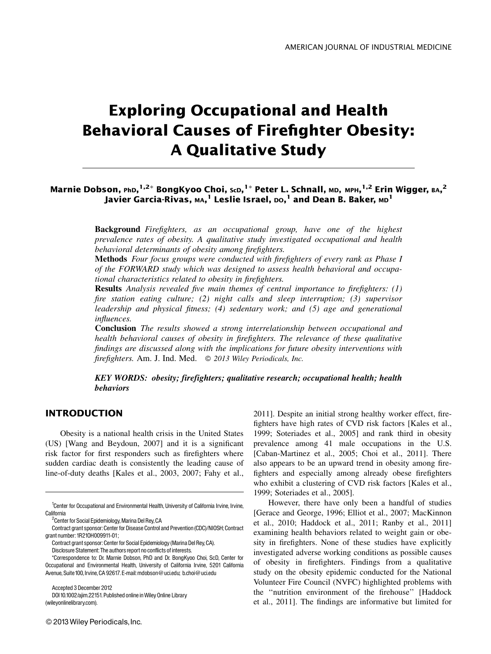# Exploring Occupational and Health Behavioral Causes of Firefighter Obesity: A Qualitative Study

# Marnie Dobson, PhD, <sup>1,2\*</sup> BongKyoo Choi, scD, <sup>1\*</sup> Peter L. Schnall, мD, мPH, <sup>1,2</sup> Erin Wigger, вA,<sup>2</sup> Javier Garcia-Rivas, <sub>MA</sub>, <sup>1</sup> Leslie Israel, <sub>DO,</sub> 1 and Dean B. Baker, <code>mp<sup>1</sup></code>

Background Firefighters, as an occupational group, have one of the highest prevalence rates of obesity. A qualitative study investigated occupational and health behavioral determinants of obesity among firefighters.

**Methods** Four focus groups were conducted with firefighters of every rank as Phase I of the FORWARD study which was designed to assess health behavioral and occupational characteristics related to obesity in firefighters.

Results Analysis revealed five main themes of central importance to firefighters: (1) fire station eating culture; (2) night calls and sleep interruption; (3) supervisor leadership and physical fitness; (4) sedentary work; and (5) age and generational influences.

Conclusion The results showed a strong interrelationship between occupational and health behavioral causes of obesity in firefighters. The relevance of these qualitative findings are discussed along with the implications for future obesity interventions with firefighters. Am. J. Ind. Med.  $\circ$  2013 Wiley Periodicals, Inc.

KEY WORDS: obesity; firefighters; qualitative research; occupational health; health<br>behaviors

#### INTRODUCTION

Obesity is a national health crisis in the United States (US) [Wang and Beydoun, 2007] and it is a significant risk factor for first responders such as firefighters where sudden cardiac death is consistently the leading cause of line-of-duty deaths [Kales et al., 2003, 2007; Fahy et al.,

Accepted 3 December 2012 DOI 10.1002/ajim.22151. Published online in Wiley Online Library (wileyonlinelibrary.com).

2011]. Despite an initial strong healthy worker effect, firefighters have high rates of CVD risk factors [Kales et al., 1999; Soteriades et al., 2005] and rank third in obesity prevalence among 41 male occupations in the U.S. [Caban-Martinez et al., 2005; Choi et al., 2011]. There also appears to be an upward trend in obesity among firefighters and especially among already obese firefighters who exhibit a clustering of CVD risk factors [Kales et al., 1999; Soteriades et al., 2005].

However, there have only been a handful of studies [Gerace and George, 1996; Elliot et al., 2007; MacKinnon et al., 2010; Haddock et al., 2011; Ranby et al., 2011] examining health behaviors related to weight gain or obesity in firefighters. None of these studies have explicitly investigated adverse working conditions as possible causes of obesity in firefighters. Findings from a qualitative study on the obesity epidemic conducted for the National Volunteer Fire Council (NVFC) highlighted problems with the ''nutrition environment of the firehouse'' [Haddock et al., 2011]. The findings are informative but limited for

<sup>&</sup>lt;sup>1</sup>Center for Occupational and Environmental Health, University of California Irvine, Irvine, **California** 

<sup>&</sup>lt;sup>2</sup> Center for Social Epidemiology, Marina Del Rey, CA

Contract grant sponsor: Center for Disease Control and Prevention (CDC)/NIOSH; Contract grant number: 1R21OH009911-01;

Contract grant sponsor: Center for Social Epidemiology (Marina Del Rey,CA).

Disclosure Statement: The authors report no conflicts of interests.

<sup>\*</sup>Correspondence to: Dr. Marnie Dobson, PhD and Dr. BongKyoo Choi, ScD, Center for Occupational and Environmental Health, University of California Irvine, 5201 California Avenue, Suite 100, Irvine, CA 92617. E-mail: mdobson@uci.edu; b.choi@uci.edu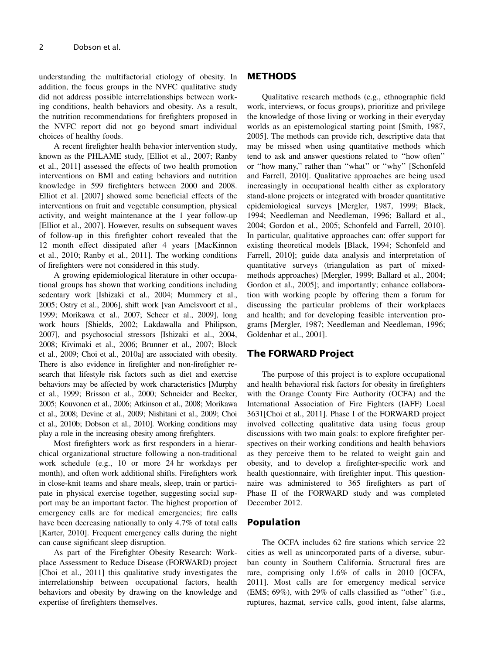understanding the multifactorial etiology of obesity. In addition, the focus groups in the NVFC qualitative study did not address possible interrelationships between working conditions, health behaviors and obesity. As a result, the nutrition recommendations for firefighters proposed in the NVFC report did not go beyond smart individual choices of healthy foods.

A recent firefighter health behavior intervention study, known as the PHLAME study, [Elliot et al., 2007; Ranby et al., 2011] assessed the effects of two health promotion interventions on BMI and eating behaviors and nutrition knowledge in 599 firefighters between 2000 and 2008. Elliot et al. [2007] showed some beneficial effects of the interventions on fruit and vegetable consumption, physical activity, and weight maintenance at the 1 year follow-up [Elliot et al., 2007]. However, results on subsequent waves of follow-up in this firefighter cohort revealed that the 12 month effect dissipated after 4 years [MacKinnon et al., 2010; Ranby et al., 2011]. The working conditions of firefighters were not considered in this study.

A growing epidemiological literature in other occupational groups has shown that working conditions including sedentary work [Ishizaki et al., 2004; Mummery et al., 2005; Ostry et al., 2006], shift work [van Amelsvoort et al., 1999; Morikawa et al., 2007; Scheer et al., 2009], long work hours [Shields, 2002; Lakdawalla and Philipson, 2007], and psychosocial stressors [Ishizaki et al., 2004, 2008; Kivimaki et al., 2006; Brunner et al., 2007; Block et al., 2009; Choi et al., 2010a] are associated with obesity. There is also evidence in firefighter and non-firefighter research that lifestyle risk factors such as diet and exercise behaviors may be affected by work characteristics [Murphy et al., 1999; Brisson et al., 2000; Schneider and Becker, 2005; Kouvonen et al., 2006; Atkinson et al., 2008; Morikawa et al., 2008; Devine et al., 2009; Nishitani et al., 2009; Choi et al., 2010b; Dobson et al., 2010]. Working conditions may play a role in the increasing obesity among firefighters.

Most firefighters work as first responders in a hierarchical organizational structure following a non-traditional work schedule (e.g., 10 or more 24 hr workdays per month), and often work additional shifts. Firefighters work in close-knit teams and share meals, sleep, train or participate in physical exercise together, suggesting social support may be an important factor. The highest proportion of emergency calls are for medical emergencies; fire calls have been decreasing nationally to only 4.7% of total calls [Karter, 2010]. Frequent emergency calls during the night can cause significant sleep disruption.

As part of the Firefighter Obesity Research: Workplace Assessment to Reduce Disease (FORWARD) project [Choi et al., 2011] this qualitative study investigates the interrelationship between occupational factors, health behaviors and obesity by drawing on the knowledge and expertise of firefighters themselves.

# METHODS

Qualitative research methods (e.g., ethnographic field work, interviews, or focus groups), prioritize and privilege the knowledge of those living or working in their everyday worlds as an epistemological starting point [Smith, 1987, 2005]. The methods can provide rich, descriptive data that may be missed when using quantitative methods which tend to ask and answer questions related to ''how often'' or ''how many,'' rather than ''what'' or ''why'' [Schonfeld and Farrell, 2010]. Qualitative approaches are being used increasingly in occupational health either as exploratory stand-alone projects or integrated with broader quantitative epidemiological surveys [Mergler, 1987, 1999; Black, 1994; Needleman and Needleman, 1996; Ballard et al., 2004; Gordon et al., 2005; Schonfeld and Farrell, 2010]. In particular, qualitative approaches can: offer support for existing theoretical models [Black, 1994; Schonfeld and Farrell, 2010]; guide data analysis and interpretation of quantitative surveys (triangulation as part of mixedmethods approaches) [Mergler, 1999; Ballard et al., 2004; Gordon et al., 2005]; and importantly; enhance collaboration with working people by offering them a forum for discussing the particular problems of their workplaces and health; and for developing feasible intervention programs [Mergler, 1987; Needleman and Needleman, 1996; Goldenhar et al., 2001].

# The FORWARD Project

The purpose of this project is to explore occupational and health behavioral risk factors for obesity in firefighters with the Orange County Fire Authority (OCFA) and the International Association of Fire Fighters (IAFF) Local 3631[Choi et al., 2011]. Phase I of the FORWARD project involved collecting qualitative data using focus group discussions with two main goals: to explore firefighter perspectives on their working conditions and health behaviors as they perceive them to be related to weight gain and obesity, and to develop a firefighter-specific work and health questionnaire, with firefighter input. This questionnaire was administered to 365 firefighters as part of Phase II of the FORWARD study and was completed December 2012.

### Population

The OCFA includes 62 fire stations which service 22 cities as well as unincorporated parts of a diverse, suburban county in Southern California. Structural fires are rare, comprising only 1.6% of calls in 2010 [OCFA, 2011]. Most calls are for emergency medical service (EMS; 69%), with 29% of calls classified as ''other'' (i.e., ruptures, hazmat, service calls, good intent, false alarms,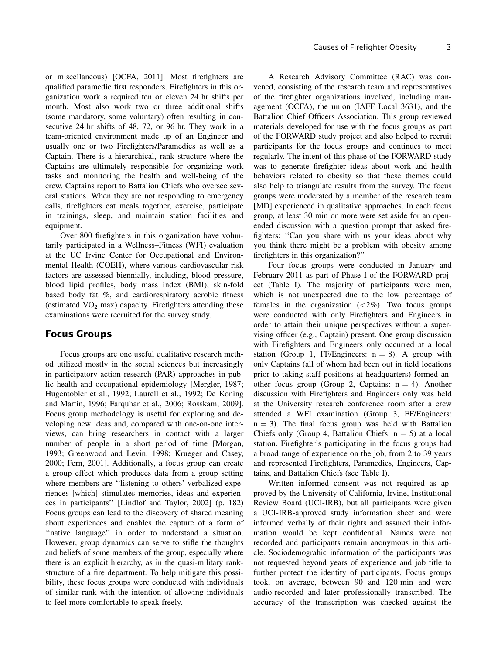or miscellaneous) [OCFA, 2011]. Most firefighters are qualified paramedic first responders. Firefighters in this organization work a required ten or eleven 24 hr shifts per month. Most also work two or three additional shifts (some mandatory, some voluntary) often resulting in consecutive 24 hr shifts of 48, 72, or 96 hr. They work in a team-oriented environment made up of an Engineer and usually one or two Firefighters/Paramedics as well as a Captain. There is a hierarchical, rank structure where the Captains are ultimately responsible for organizing work tasks and monitoring the health and well-being of the crew. Captains report to Battalion Chiefs who oversee several stations. When they are not responding to emergency calls, firefighters eat meals together, exercise, participate in trainings, sleep, and maintain station facilities and equipment.

Over 800 firefighters in this organization have voluntarily participated in a Wellness–Fitness (WFI) evaluation at the UC Irvine Center for Occupational and Environmental Health (COEH), where various cardiovascular risk factors are assessed biennially, including, blood pressure, blood lipid profiles, body mass index (BMI), skin-fold based body fat %, and cardiorespiratory aerobic fitness (estimated  $VO<sub>2</sub>$  max) capacity. Firefighters attending these examinations were recruited for the survey study.

# Focus Groups

Focus groups are one useful qualitative research method utilized mostly in the social sciences but increasingly in participatory action research (PAR) approaches in public health and occupational epidemiology [Mergler, 1987; Hugentobler et al., 1992; Laurell et al., 1992; De Koning and Martin, 1996; Farquhar et al., 2006; Rosskam, 2009]. Focus group methodology is useful for exploring and developing new ideas and, compared with one-on-one interviews, can bring researchers in contact with a larger number of people in a short period of time [Morgan, 1993; Greenwood and Levin, 1998; Krueger and Casey, 2000; Fern, 2001]. Additionally, a focus group can create a group effect which produces data from a group setting where members are "listening to others' verbalized experiences [which] stimulates memories, ideas and experiences in participants'' [Lindlof and Taylor, 2002] (p. 182) Focus groups can lead to the discovery of shared meaning about experiences and enables the capture of a form of "native language" in order to understand a situation. However, group dynamics can serve to stifle the thoughts and beliefs of some members of the group, especially where there is an explicit hierarchy, as in the quasi-military rankstructure of a fire department. To help mitigate this possibility, these focus groups were conducted with individuals of similar rank with the intention of allowing individuals to feel more comfortable to speak freely.

A Research Advisory Committee (RAC) was convened, consisting of the research team and representatives of the firefighter organizations involved, including management (OCFA), the union (IAFF Local 3631), and the Battalion Chief Officers Association. This group reviewed materials developed for use with the focus groups as part of the FORWARD study project and also helped to recruit participants for the focus groups and continues to meet regularly. The intent of this phase of the FORWARD study was to generate firefighter ideas about work and health behaviors related to obesity so that these themes could also help to triangulate results from the survey. The focus groups were moderated by a member of the research team [MD] experienced in qualitative approaches. In each focus group, at least 30 min or more were set aside for an openended discussion with a question prompt that asked firefighters: ''Can you share with us your ideas about why you think there might be a problem with obesity among firefighters in this organization?''

Four focus groups were conducted in January and February 2011 as part of Phase I of the FORWARD project (Table I). The majority of participants were men, which is not unexpected due to the low percentage of females in the organization  $\left( \langle 2\% \rangle \right)$ . Two focus groups were conducted with only Firefighters and Engineers in order to attain their unique perspectives without a supervising officer (e.g., Captain) present. One group discussion with Firefighters and Engineers only occurred at a local station (Group 1, FF/Engineers:  $n = 8$ ). A group with only Captains (all of whom had been out in field locations prior to taking staff positions at headquarters) formed another focus group (Group 2, Captains:  $n = 4$ ). Another discussion with Firefighters and Engineers only was held at the University research conference room after a crew attended a WFI examination (Group 3, FF/Engineers:  $n = 3$ ). The final focus group was held with Battalion Chiefs only (Group 4, Battalion Chiefs:  $n = 5$ ) at a local station. Firefighter's participating in the focus groups had a broad range of experience on the job, from 2 to 39 years and represented Firefighters, Paramedics, Engineers, Captains, and Battalion Chiefs (see Table I).

Written informed consent was not required as approved by the University of California, Irvine, Institutional Review Board (UCI-IRB), but all participants were given a UCI-IRB-approved study information sheet and were informed verbally of their rights and assured their information would be kept confidential. Names were not recorded and participants remain anonymous in this article. Sociodemograhic information of the participants was not requested beyond years of experience and job title to further protect the identity of participants. Focus groups took, on average, between 90 and 120 min and were audio-recorded and later professionally transcribed. The accuracy of the transcription was checked against the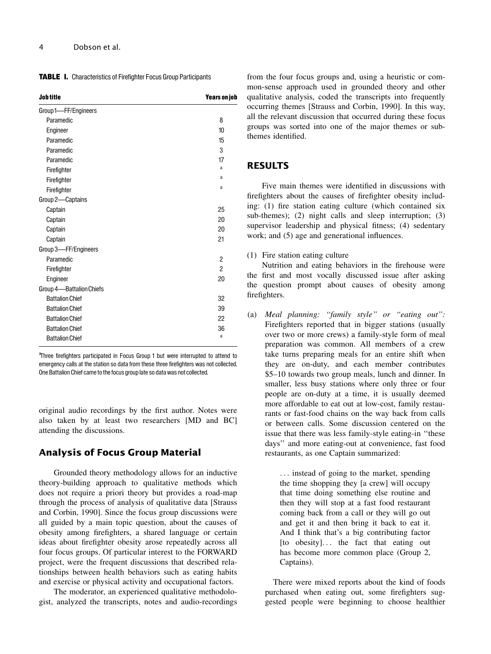#### $\overline{4}$ Dobson et al.

TABLE I. Characteristics of Firefighter Focus Group Participants

| <b>Job title</b>         | <b>Years on job</b> |
|--------------------------|---------------------|
| Group1-FF/Engineers      |                     |
| Paramedic                | 8                   |
| Engineer                 | 10                  |
| Paramedic                | 15                  |
| Paramedic                | 3                   |
| Paramedic                | 17                  |
| Firefighter              | a                   |
| Firefighter              | a                   |
| Firefighter              | a                   |
| Group 2-Captains         |                     |
| Captain                  | 25                  |
| Captain                  | 20                  |
| Captain                  | 20                  |
| Captain                  | 21                  |
| Group 3-FF/Engineers     |                     |
| Paramedic                | 2                   |
| Firefighter              | 2                   |
| Engineer                 | 20                  |
| Group 4-Battalion Chiefs |                     |
| <b>Battalion Chief</b>   | 32                  |
| <b>Battalion Chief</b>   | 39                  |
| <b>Battalion Chief</b>   | 22                  |
| <b>Battalion Chief</b>   | 36                  |
| <b>Battalion Chief</b>   | a                   |

emergency calls at the station so data from these three firefighters was not collected. One Battalion Chief came to the focus group late so data was not collected.

original audio recordings by the first author. Notes were also taken by at least two researchers [MD and BC] attending the discussions.

# Analysis of Focus Group Material

Grounded theory methodology allows for an inductive theory-building approach to qualitative methods which does not require a priori theory but provides a road-map through the process of analysis of qualitative data [Strauss and Corbin, 1990]. Since the focus group discussions were all guided by a main topic question, about the causes of obesity among firefighters, a shared language or certain ideas about firefighter obesity arose repeatedly across all four focus groups. Of particular interest to the FORWARD project, were the frequent discussions that described relationships between health behaviors such as eating habits and exercise or physical activity and occupational factors.

The moderator, an experienced qualitative methodologist, analyzed the transcripts, notes and audio-recordings from the four focus groups and, using a heuristic or common-sense approach used in grounded theory and other qualitative analysis, coded the transcripts into frequently occurring themes [Strauss and Corbin, 1990]. In this way, all the relevant discussion that occurred during these focus groups was sorted into one of the major themes or subthemes identified.

# RESULTS

Five main themes were identified in discussions with firefighters about the causes of firefighter obesity including: (1) fire station eating culture (which contained six sub-themes); (2) night calls and sleep interruption; (3) supervisor leadership and physical fitness; (4) sedentary work; and (5) age and generational influences.

#### (1) Fire station eating culture

Nutrition and eating behaviors in the firehouse were the first and most vocally discussed issue after asking the question prompt about causes of obesity among firefighters.

(a) Meal planning: "family style" or "eating out": Firefighters reported that in bigger stations (usually over two or more crews) a family-style form of meal preparation was common. All members of a crew take turns preparing meals for an entire shift when they are on-duty, and each member contributes \$5–10 towards two group meals, lunch and dinner. In smaller, less busy stations where only three or four people are on-duty at a time, it is usually deemed more affordable to eat out at low-cost, family restaurants or fast-food chains on the way back from calls or between calls. Some discussion centered on the issue that there was less family-style eating-in ''these days'' and more eating-out at convenience, fast food restaurants, as one Captain summarized:

> ... instead of going to the market, spending the time shopping they [a crew] will occupy that time doing something else routine and then they will stop at a fast food restaurant coming back from a call or they will go out and get it and then bring it back to eat it. And I think that's a big contributing factor [to obesity]... the fact that eating out has become more common place (Group 2, Captains).

There were mixed reports about the kind of foods purchased when eating out, some firefighters suggested people were beginning to choose healthier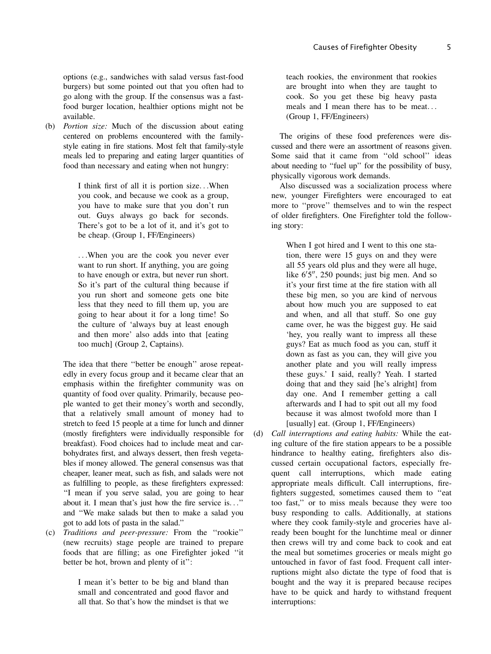options (e.g., sandwiches with salad versus fast-food burgers) but some pointed out that you often had to go along with the group. If the consensus was a fastfood burger location, healthier options might not be available.

(b) Portion size: Much of the discussion about eating centered on problems encountered with the familystyle eating in fire stations. Most felt that family-style meals led to preparing and eating larger quantities of food than necessary and eating when not hungry:

> I think first of all it is portion size...When you cook, and because we cook as a group, you have to make sure that you don't run out. Guys always go back for seconds. There's got to be a lot of it, and it's got to be cheap. (Group 1, FF/Engineers)

> ...When you are the cook you never ever want to run short. If anything, you are going to have enough or extra, but never run short. So it's part of the cultural thing because if you run short and someone gets one bite less that they need to fill them up, you are going to hear about it for a long time! So the culture of 'always buy at least enough and then more' also adds into that [eating too much] (Group 2, Captains).

The idea that there ''better be enough'' arose repeatedly in every focus group and it became clear that an emphasis within the firefighter community was on quantity of food over quality. Primarily, because people wanted to get their money's worth and secondly, that a relatively small amount of money had to stretch to feed 15 people at a time for lunch and dinner (mostly firefighters were individually responsible for breakfast). Food choices had to include meat and carbohydrates first, and always dessert, then fresh vegetables if money allowed. The general consensus was that cheaper, leaner meat, such as fish, and salads were not as fulfilling to people, as these firefighters expressed: ''I mean if you serve salad, you are going to hear about it. I mean that's just how the fire service is...'' and ''We make salads but then to make a salad you got to add lots of pasta in the salad.''

(c) Traditions and peer-pressure: From the ''rookie'' (new recruits) stage people are trained to prepare foods that are filling; as one Firefighter joked ''it better be hot, brown and plenty of it'':

> I mean it's better to be big and bland than small and concentrated and good flavor and all that. So that's how the mindset is that we

teach rookies, the environment that rookies are brought into when they are taught to cook. So you get these big heavy pasta meals and I mean there has to be meat... (Group 1, FF/Engineers)

The origins of these food preferences were discussed and there were an assortment of reasons given. Some said that it came from "old school" ideas about needing to ''fuel up'' for the possibility of busy, physically vigorous work demands.

Also discussed was a socialization process where new, younger Firefighters were encouraged to eat more to ''prove'' themselves and to win the respect of older firefighters. One Firefighter told the following story:

When I got hired and I went to this one station, there were 15 guys on and they were all 55 years old plus and they were all huge, like 6'5", 250 pounds; just big men. And so it's your first time at the fire station with all these big men, so you are kind of nervous about how much you are supposed to eat and when, and all that stuff. So one guy came over, he was the biggest guy. He said 'hey, you really want to impress all these guys? Eat as much food as you can, stuff it down as fast as you can, they will give you another plate and you will really impress these guys.' I said, really? Yeah. I started doing that and they said [he's alright] from day one. And I remember getting a call afterwards and I had to spit out all my food because it was almost twofold more than I [usually] eat. (Group 1, FF/Engineers)

(d) Call interruptions and eating habits: While the eating culture of the fire station appears to be a possible hindrance to healthy eating, firefighters also discussed certain occupational factors, especially frequent call interruptions, which made eating appropriate meals difficult. Call interruptions, firefighters suggested, sometimes caused them to ''eat too fast,'' or to miss meals because they were too busy responding to calls. Additionally, at stations where they cook family-style and groceries have already been bought for the lunchtime meal or dinner then crews will try and come back to cook and eat the meal but sometimes groceries or meals might go untouched in favor of fast food. Frequent call interruptions might also dictate the type of food that is bought and the way it is prepared because recipes have to be quick and hardy to withstand frequent interruptions: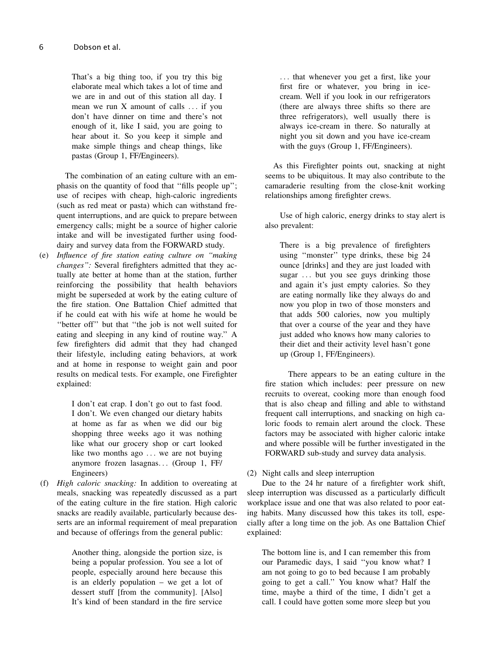That's a big thing too, if you try this big elaborate meal which takes a lot of time and we are in and out of this station all day. I mean we run X amount of calls ... if you don't have dinner on time and there's not enough of it, like I said, you are going to hear about it. So you keep it simple and make simple things and cheap things, like pastas (Group 1, FF/Engineers).

The combination of an eating culture with an emphasis on the quantity of food that ''fills people up''; use of recipes with cheap, high-caloric ingredients (such as red meat or pasta) which can withstand frequent interruptions, and are quick to prepare between emergency calls; might be a source of higher calorie intake and will be investigated further using fooddairy and survey data from the FORWARD study.

(e) Influence of fire station eating culture on ''making changes'': Several firefighters admitted that they actually ate better at home than at the station, further reinforcing the possibility that health behaviors might be superseded at work by the eating culture of the fire station. One Battalion Chief admitted that if he could eat with his wife at home he would be ''better off'' but that ''the job is not well suited for eating and sleeping in any kind of routine way.'' A few firefighters did admit that they had changed their lifestyle, including eating behaviors, at work and at home in response to weight gain and poor results on medical tests. For example, one Firefighter explained:

> I don't eat crap. I don't go out to fast food. I don't. We even changed our dietary habits at home as far as when we did our big shopping three weeks ago it was nothing like what our grocery shop or cart looked like two months ago ... we are not buying anymore frozen lasagnas... (Group 1, FF/ Engineers)

(f) High caloric snacking: In addition to overeating at meals, snacking was repeatedly discussed as a part of the eating culture in the fire station. High caloric snacks are readily available, particularly because desserts are an informal requirement of meal preparation and because of offerings from the general public:

> Another thing, alongside the portion size, is being a popular profession. You see a lot of people, especially around here because this is an elderly population – we get a lot of dessert stuff [from the community]. [Also] It's kind of been standard in the fire service

... that whenever you get a first, like your first fire or whatever, you bring in icecream. Well if you look in our refrigerators (there are always three shifts so there are three refrigerators), well usually there is always ice-cream in there. So naturally at night you sit down and you have ice-cream with the guys (Group 1, FF/Engineers).

As this Firefighter points out, snacking at night seems to be ubiquitous. It may also contribute to the camaraderie resulting from the close-knit working relationships among firefighter crews.

Use of high caloric, energy drinks to stay alert is also prevalent:

There is a big prevalence of firefighters using ''monster'' type drinks, these big 24 ounce [drinks] and they are just loaded with sugar ... but you see guys drinking those and again it's just empty calories. So they are eating normally like they always do and now you plop in two of those monsters and that adds 500 calories, now you multiply that over a course of the year and they have just added who knows how many calories to their diet and their activity level hasn't gone up (Group 1, FF/Engineers).

There appears to be an eating culture in the fire station which includes: peer pressure on new recruits to overeat, cooking more than enough food that is also cheap and filling and able to withstand frequent call interruptions, and snacking on high caloric foods to remain alert around the clock. These factors may be associated with higher caloric intake and where possible will be further investigated in the FORWARD sub-study and survey data analysis.

(2) Night calls and sleep interruption

Due to the 24 hr nature of a firefighter work shift, sleep interruption was discussed as a particularly difficult workplace issue and one that was also related to poor eating habits. Many discussed how this takes its toll, especially after a long time on the job. As one Battalion Chief explained:

The bottom line is, and I can remember this from our Paramedic days, I said ''you know what? I am not going to go to bed because I am probably going to get a call.'' You know what? Half the time, maybe a third of the time, I didn't get a call. I could have gotten some more sleep but you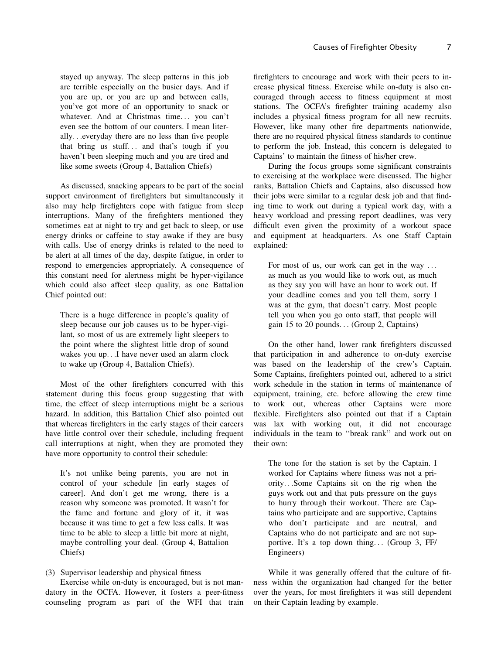stayed up anyway. The sleep patterns in this job are terrible especially on the busier days. And if you are up, or you are up and between calls, you've got more of an opportunity to snack or whatever. And at Christmas time... you can't even see the bottom of our counters. I mean literally...everyday there are no less than five people that bring us stuff... and that's tough if you haven't been sleeping much and you are tired and like some sweets (Group 4, Battalion Chiefs)

As discussed, snacking appears to be part of the social support environment of firefighters but simultaneously it also may help firefighters cope with fatigue from sleep interruptions. Many of the firefighters mentioned they sometimes eat at night to try and get back to sleep, or use energy drinks or caffeine to stay awake if they are busy with calls. Use of energy drinks is related to the need to be alert at all times of the day, despite fatigue, in order to respond to emergencies appropriately. A consequence of this constant need for alertness might be hyper-vigilance which could also affect sleep quality, as one Battalion Chief pointed out:

There is a huge difference in people's quality of sleep because our job causes us to be hyper-vigilant, so most of us are extremely light sleepers to the point where the slightest little drop of sound wakes you up...I have never used an alarm clock to wake up (Group 4, Battalion Chiefs).

Most of the other firefighters concurred with this statement during this focus group suggesting that with time, the effect of sleep interruptions might be a serious hazard. In addition, this Battalion Chief also pointed out that whereas firefighters in the early stages of their careers have little control over their schedule, including frequent call interruptions at night, when they are promoted they have more opportunity to control their schedule:

It's not unlike being parents, you are not in control of your schedule [in early stages of career]. And don't get me wrong, there is a reason why someone was promoted. It wasn't for the fame and fortune and glory of it, it was because it was time to get a few less calls. It was time to be able to sleep a little bit more at night, maybe controlling your deal. (Group 4, Battalion Chiefs)

#### (3) Supervisor leadership and physical fitness

Exercise while on-duty is encouraged, but is not mandatory in the OCFA. However, it fosters a peer-fitness counseling program as part of the WFI that train firefighters to encourage and work with their peers to increase physical fitness. Exercise while on-duty is also encouraged through access to fitness equipment at most stations. The OCFA's firefighter training academy also includes a physical fitness program for all new recruits. However, like many other fire departments nationwide, there are no required physical fitness standards to continue to perform the job. Instead, this concern is delegated to Captains' to maintain the fitness of his/her crew.

During the focus groups some significant constraints to exercising at the workplace were discussed. The higher ranks, Battalion Chiefs and Captains, also discussed how their jobs were similar to a regular desk job and that finding time to work out during a typical work day, with a heavy workload and pressing report deadlines, was very difficult even given the proximity of a workout space and equipment at headquarters. As one Staff Captain explained:

For most of us, our work can get in the way ... as much as you would like to work out, as much as they say you will have an hour to work out. If your deadline comes and you tell them, sorry I was at the gym, that doesn't carry. Most people tell you when you go onto staff, that people will gain 15 to 20 pounds... (Group 2, Captains)

On the other hand, lower rank firefighters discussed that participation in and adherence to on-duty exercise was based on the leadership of the crew's Captain. Some Captains, firefighters pointed out, adhered to a strict work schedule in the station in terms of maintenance of equipment, training, etc. before allowing the crew time to work out, whereas other Captains were more flexible. Firefighters also pointed out that if a Captain was lax with working out, it did not encourage individuals in the team to ''break rank'' and work out on their own:

The tone for the station is set by the Captain. I worked for Captains where fitness was not a priority...Some Captains sit on the rig when the guys work out and that puts pressure on the guys to hurry through their workout. There are Captains who participate and are supportive, Captains who don't participate and are neutral, and Captains who do not participate and are not supportive. It's a top down thing... (Group 3, FF/ Engineers)

While it was generally offered that the culture of fitness within the organization had changed for the better over the years, for most firefighters it was still dependent on their Captain leading by example.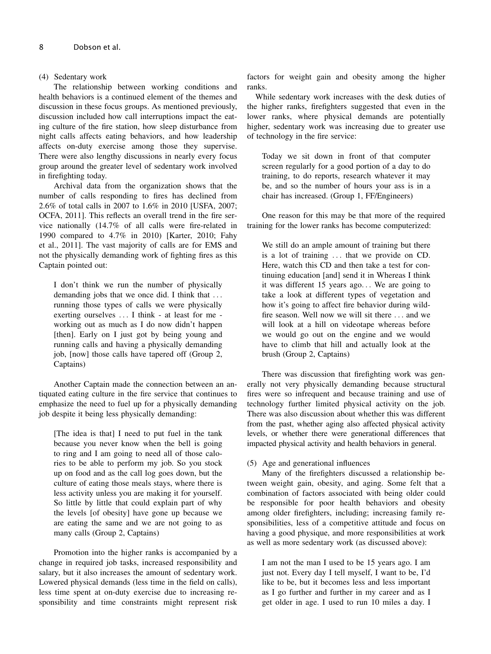#### (4) Sedentary work

The relationship between working conditions and health behaviors is a continued element of the themes and discussion in these focus groups. As mentioned previously, discussion included how call interruptions impact the eating culture of the fire station, how sleep disturbance from night calls affects eating behaviors, and how leadership affects on-duty exercise among those they supervise. There were also lengthy discussions in nearly every focus group around the greater level of sedentary work involved in firefighting today.

Archival data from the organization shows that the number of calls responding to fires has declined from 2.6% of total calls in 2007 to 1.6% in 2010 [USFA, 2007; OCFA, 2011]. This reflects an overall trend in the fire service nationally (14.7% of all calls were fire-related in 1990 compared to 4.7% in 2010) [Karter, 2010; Fahy et al., 2011]. The vast majority of calls are for EMS and not the physically demanding work of fighting fires as this Captain pointed out:

I don't think we run the number of physically demanding jobs that we once did. I think that ... running those types of calls we were physically exerting ourselves ... I think - at least for me working out as much as I do now didn't happen [then]. Early on I just got by being young and running calls and having a physically demanding job, [now] those calls have tapered off (Group 2, Captains)

Another Captain made the connection between an antiquated eating culture in the fire service that continues to emphasize the need to fuel up for a physically demanding job despite it being less physically demanding:

[The idea is that] I need to put fuel in the tank because you never know when the bell is going to ring and I am going to need all of those calories to be able to perform my job. So you stock up on food and as the call log goes down, but the culture of eating those meals stays, where there is less activity unless you are making it for yourself. So little by little that could explain part of why the levels [of obesity] have gone up because we are eating the same and we are not going to as many calls (Group 2, Captains)

Promotion into the higher ranks is accompanied by a change in required job tasks, increased responsibility and salary, but it also increases the amount of sedentary work. Lowered physical demands (less time in the field on calls), less time spent at on-duty exercise due to increasing responsibility and time constraints might represent risk factors for weight gain and obesity among the higher ranks.

While sedentary work increases with the desk duties of the higher ranks, firefighters suggested that even in the lower ranks, where physical demands are potentially higher, sedentary work was increasing due to greater use of technology in the fire service:

Today we sit down in front of that computer screen regularly for a good portion of a day to do training, to do reports, research whatever it may be, and so the number of hours your ass is in a chair has increased. (Group 1, FF/Engineers)

One reason for this may be that more of the required training for the lower ranks has become computerized:

We still do an ample amount of training but there is a lot of training ... that we provide on CD. Here, watch this CD and then take a test for continuing education [and] send it in Whereas I think it was different 15 years ago... We are going to take a look at different types of vegetation and how it's going to affect fire behavior during wildfire season. Well now we will sit there ... and we will look at a hill on videotape whereas before we would go out on the engine and we would have to climb that hill and actually look at the brush (Group 2, Captains)

There was discussion that firefighting work was generally not very physically demanding because structural fires were so infrequent and because training and use of technology further limited physical activity on the job. There was also discussion about whether this was different from the past, whether aging also affected physical activity levels, or whether there were generational differences that impacted physical activity and health behaviors in general.

(5) Age and generational influences

Many of the firefighters discussed a relationship between weight gain, obesity, and aging. Some felt that a combination of factors associated with being older could be responsible for poor health behaviors and obesity among older firefighters, including; increasing family responsibilities, less of a competitive attitude and focus on having a good physique, and more responsibilities at work as well as more sedentary work (as discussed above):

I am not the man I used to be 15 years ago. I am just not. Every day I tell myself, I want to be, I'd like to be, but it becomes less and less important as I go further and further in my career and as I get older in age. I used to run 10 miles a day. I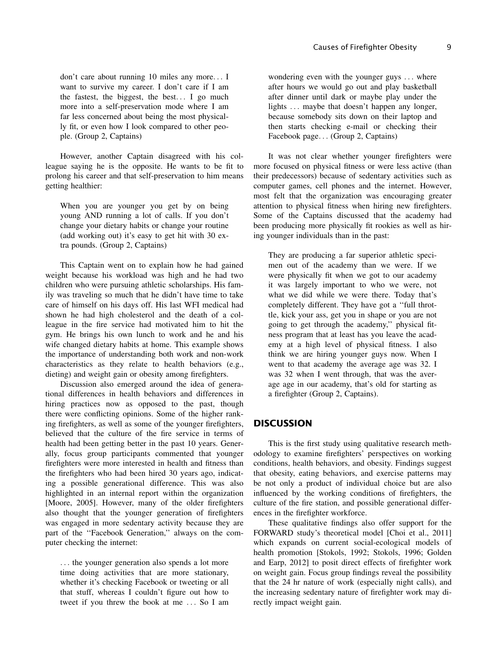don't care about running 10 miles any more... I want to survive my career. I don't care if I am the fastest, the biggest, the best... I go much more into a self-preservation mode where I am far less concerned about being the most physically fit, or even how I look compared to other people. (Group 2, Captains)

However, another Captain disagreed with his colleague saying he is the opposite. He wants to be fit to prolong his career and that self-preservation to him means getting healthier:

When you are younger you get by on being young AND running a lot of calls. If you don't change your dietary habits or change your routine (add working out) it's easy to get hit with 30 extra pounds. (Group 2, Captains)

This Captain went on to explain how he had gained weight because his workload was high and he had two children who were pursuing athletic scholarships. His family was traveling so much that he didn't have time to take care of himself on his days off. His last WFI medical had shown he had high cholesterol and the death of a colleague in the fire service had motivated him to hit the gym. He brings his own lunch to work and he and his wife changed dietary habits at home. This example shows the importance of understanding both work and non-work characteristics as they relate to health behaviors (e.g., dieting) and weight gain or obesity among firefighters.

Discussion also emerged around the idea of generational differences in health behaviors and differences in hiring practices now as opposed to the past, though there were conflicting opinions. Some of the higher ranking firefighters, as well as some of the younger firefighters, believed that the culture of the fire service in terms of health had been getting better in the past 10 years. Generally, focus group participants commented that younger firefighters were more interested in health and fitness than the firefighters who had been hired 30 years ago, indicating a possible generational difference. This was also highlighted in an internal report within the organization [Moore, 2005]. However, many of the older firefighters also thought that the younger generation of firefighters was engaged in more sedentary activity because they are part of the "Facebook Generation," always on the computer checking the internet:

... the younger generation also spends a lot more time doing activities that are more stationary, whether it's checking Facebook or tweeting or all that stuff, whereas I couldn't figure out how to tweet if you threw the book at me ... So I am 9

wondering even with the younger guys ... where after hours we would go out and play basketball after dinner until dark or maybe play under the lights ... maybe that doesn't happen any longer, because somebody sits down on their laptop and then starts checking e-mail or checking their Facebook page... (Group 2, Captains)

It was not clear whether younger firefighters were more focused on physical fitness or were less active (than their predecessors) because of sedentary activities such as computer games, cell phones and the internet. However, most felt that the organization was encouraging greater attention to physical fitness when hiring new firefighters. Some of the Captains discussed that the academy had been producing more physically fit rookies as well as hiring younger individuals than in the past:

They are producing a far superior athletic specimen out of the academy than we were. If we were physically fit when we got to our academy it was largely important to who we were, not what we did while we were there. Today that's completely different. They have got a ''full throttle, kick your ass, get you in shape or you are not going to get through the academy,'' physical fitness program that at least has you leave the academy at a high level of physical fitness. I also think we are hiring younger guys now. When I went to that academy the average age was 32. I was 32 when I went through, that was the average age in our academy, that's old for starting as a firefighter (Group 2, Captains).

#### **DISCUSSION**

This is the first study using qualitative research methodology to examine firefighters' perspectives on working conditions, health behaviors, and obesity. Findings suggest that obesity, eating behaviors, and exercise patterns may be not only a product of individual choice but are also influenced by the working conditions of firefighters, the culture of the fire station, and possible generational differences in the firefighter workforce.

These qualitative findings also offer support for the FORWARD study's theoretical model [Choi et al., 2011] which expands on current social-ecological models of health promotion [Stokols, 1992; Stokols, 1996; Golden and Earp, 2012] to posit direct effects of firefighter work on weight gain. Focus group findings reveal the possibility that the 24 hr nature of work (especially night calls), and the increasing sedentary nature of firefighter work may directly impact weight gain.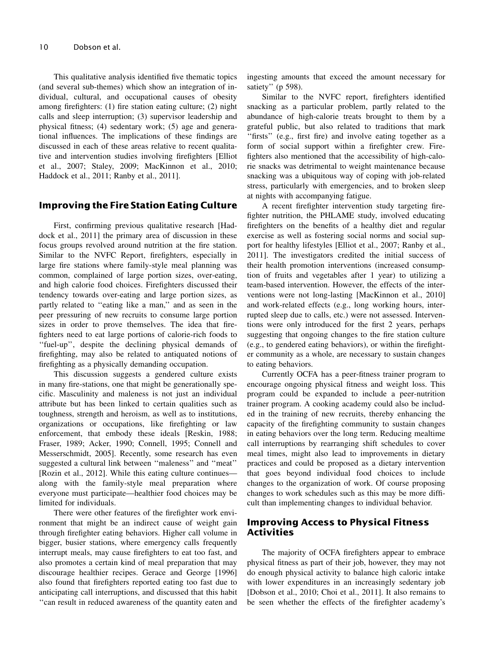This qualitative analysis identified five thematic topics (and several sub-themes) which show an integration of individual, cultural, and occupational causes of obesity among firefighters: (1) fire station eating culture; (2) night calls and sleep interruption; (3) supervisor leadership and physical fitness; (4) sedentary work; (5) age and generational influences. The implications of these findings are discussed in each of these areas relative to recent qualitative and intervention studies involving firefighters [Elliot et al., 2007; Staley, 2009; MacKinnon et al., 2010; Haddock et al., 2011; Ranby et al., 2011].

### Improving the Fire Station Eating Culture

First, confirming previous qualitative research [Haddock et al., 2011] the primary area of discussion in these focus groups revolved around nutrition at the fire station. Similar to the NVFC Report, firefighters, especially in large fire stations where family-style meal planning was common, complained of large portion sizes, over-eating, and high calorie food choices. Firefighters discussed their tendency towards over-eating and large portion sizes, as partly related to "eating like a man," and as seen in the peer pressuring of new recruits to consume large portion sizes in order to prove themselves. The idea that firefighters need to eat large portions of calorie-rich foods to "fuel-up", despite the declining physical demands of firefighting, may also be related to antiquated notions of firefighting as a physically demanding occupation.

This discussion suggests a gendered culture exists in many fire-stations, one that might be generationally specific. Masculinity and maleness is not just an individual attribute but has been linked to certain qualities such as toughness, strength and heroism, as well as to institutions, organizations or occupations, like firefighting or law enforcement, that embody these ideals [Reskin, 1988; Fraser, 1989; Acker, 1990; Connell, 1995; Connell and Messerschmidt, 2005]. Recently, some research has even suggested a cultural link between ''maleness'' and ''meat'' [Rozin et al., 2012]. While this eating culture continues along with the family-style meal preparation where everyone must participate—healthier food choices may be limited for individuals.

There were other features of the firefighter work environment that might be an indirect cause of weight gain through firefighter eating behaviors. Higher call volume in bigger, busier stations, where emergency calls frequently interrupt meals, may cause firefighters to eat too fast, and also promotes a certain kind of meal preparation that may discourage healthier recipes. Gerace and George [1996] also found that firefighters reported eating too fast due to anticipating call interruptions, and discussed that this habit ''can result in reduced awareness of the quantity eaten and

ingesting amounts that exceed the amount necessary for satiety" (p 598).

Similar to the NVFC report, firefighters identified snacking as a particular problem, partly related to the abundance of high-calorie treats brought to them by a grateful public, but also related to traditions that mark "firsts" (e.g., first fire) and involve eating together as a form of social support within a firefighter crew. Firefighters also mentioned that the accessibility of high-calorie snacks was detrimental to weight maintenance because snacking was a ubiquitous way of coping with job-related stress, particularly with emergencies, and to broken sleep at nights with accompanying fatigue.

A recent firefighter intervention study targeting firefighter nutrition, the PHLAME study, involved educating firefighters on the benefits of a healthy diet and regular exercise as well as fostering social norms and social support for healthy lifestyles [Elliot et al., 2007; Ranby et al., 2011]. The investigators credited the initial success of their health promotion interventions (increased consumption of fruits and vegetables after 1 year) to utilizing a team-based intervention. However, the effects of the interventions were not long-lasting [MacKinnon et al., 2010] and work-related effects (e.g., long working hours, interrupted sleep due to calls, etc.) were not assessed. Interventions were only introduced for the first 2 years, perhaps suggesting that ongoing changes to the fire station culture (e.g., to gendered eating behaviors), or within the firefighter community as a whole, are necessary to sustain changes to eating behaviors.

Currently OCFA has a peer-fitness trainer program to encourage ongoing physical fitness and weight loss. This program could be expanded to include a peer-nutrition trainer program. A cooking academy could also be included in the training of new recruits, thereby enhancing the capacity of the firefighting community to sustain changes in eating behaviors over the long term. Reducing mealtime call interruptions by rearranging shift schedules to cover meal times, might also lead to improvements in dietary practices and could be proposed as a dietary intervention that goes beyond individual food choices to include changes to the organization of work. Of course proposing changes to work schedules such as this may be more difficult than implementing changes to individual behavior.

# Improving Access to Physical Fitness Activities

The majority of OCFA firefighters appear to embrace physical fitness as part of their job, however, they may not do enough physical activity to balance high caloric intake with lower expenditures in an increasingly sedentary job [Dobson et al., 2010; Choi et al., 2011]. It also remains to be seen whether the effects of the firefighter academy's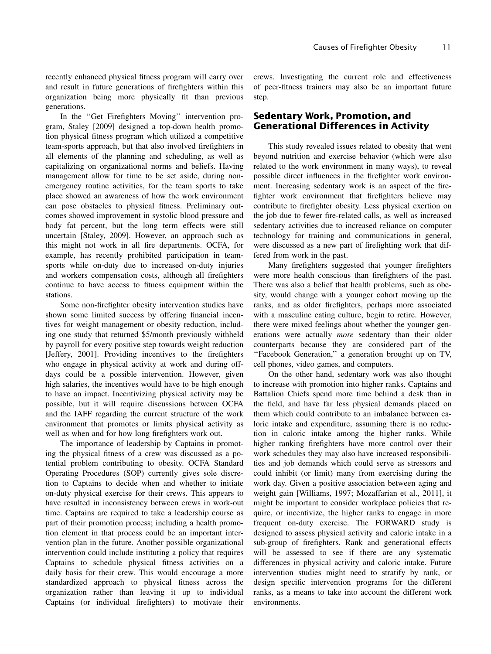recently enhanced physical fitness program will carry over and result in future generations of firefighters within this organization being more physically fit than previous generations.

In the ''Get Firefighters Moving'' intervention program, Staley [2009] designed a top-down health promotion physical fitness program which utilized a competitive team-sports approach, but that also involved firefighters in all elements of the planning and scheduling, as well as capitalizing on organizational norms and beliefs. Having management allow for time to be set aside, during nonemergency routine activities, for the team sports to take place showed an awareness of how the work environment can pose obstacles to physical fitness. Preliminary outcomes showed improvement in systolic blood pressure and body fat percent, but the long term effects were still uncertain [Staley, 2009]. However, an approach such as this might not work in all fire departments. OCFA, for example, has recently prohibited participation in teamsports while on-duty due to increased on-duty injuries and workers compensation costs, although all firefighters continue to have access to fitness equipment within the stations.

Some non-firefighter obesity intervention studies have shown some limited success by offering financial incentives for weight management or obesity reduction, including one study that returned \$5/month previously withheld by payroll for every positive step towards weight reduction [Jeffery, 2001]. Providing incentives to the firefighters who engage in physical activity at work and during offdays could be a possible intervention. However, given high salaries, the incentives would have to be high enough to have an impact. Incentivizing physical activity may be possible, but it will require discussions between OCFA and the IAFF regarding the current structure of the work environment that promotes or limits physical activity as well as when and for how long firefighters work out.

The importance of leadership by Captains in promoting the physical fitness of a crew was discussed as a potential problem contributing to obesity. OCFA Standard Operating Procedures (SOP) currently gives sole discretion to Captains to decide when and whether to initiate on-duty physical exercise for their crews. This appears to have resulted in inconsistency between crews in work-out time. Captains are required to take a leadership course as part of their promotion process; including a health promotion element in that process could be an important intervention plan in the future. Another possible organizational intervention could include instituting a policy that requires Captains to schedule physical fitness activities on a daily basis for their crew. This would encourage a more standardized approach to physical fitness across the organization rather than leaving it up to individual Captains (or individual firefighters) to motivate their crews. Investigating the current role and effectiveness of peer-fitness trainers may also be an important future step.

# Sedentary Work, Promotion, and Generational Differences in Activity

This study revealed issues related to obesity that went beyond nutrition and exercise behavior (which were also related to the work environment in many ways), to reveal possible direct influences in the firefighter work environment. Increasing sedentary work is an aspect of the firefighter work environment that firefighters believe may contribute to firefighter obesity. Less physical exertion on the job due to fewer fire-related calls, as well as increased sedentary activities due to increased reliance on computer technology for training and communications in general, were discussed as a new part of firefighting work that differed from work in the past.

Many firefighters suggested that younger firefighters were more health conscious than firefighters of the past. There was also a belief that health problems, such as obesity, would change with a younger cohort moving up the ranks, and as older firefighters, perhaps more associated with a masculine eating culture, begin to retire. However, there were mixed feelings about whether the younger generations were actually more sedentary than their older counterparts because they are considered part of the ''Facebook Generation,'' a generation brought up on TV, cell phones, video games, and computers.

On the other hand, sedentary work was also thought to increase with promotion into higher ranks. Captains and Battalion Chiefs spend more time behind a desk than in the field, and have far less physical demands placed on them which could contribute to an imbalance between caloric intake and expenditure, assuming there is no reduction in caloric intake among the higher ranks. While higher ranking firefighters have more control over their work schedules they may also have increased responsibilities and job demands which could serve as stressors and could inhibit (or limit) many from exercising during the work day. Given a positive association between aging and weight gain [Williams, 1997; Mozaffarian et al., 2011], it might be important to consider workplace policies that require, or incentivize, the higher ranks to engage in more frequent on-duty exercise. The FORWARD study is designed to assess physical activity and caloric intake in a sub-group of firefighters. Rank and generational effects will be assessed to see if there are any systematic differences in physical activity and caloric intake. Future intervention studies might need to stratify by rank, or design specific intervention programs for the different ranks, as a means to take into account the different work environments.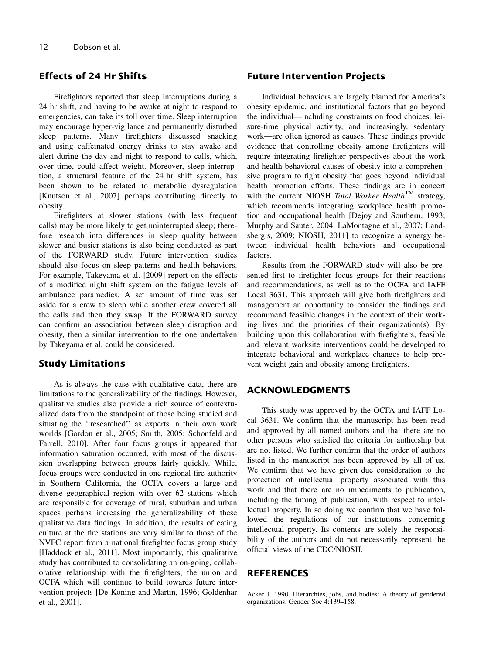# Effects of 24 Hr Shifts

Firefighters reported that sleep interruptions during a 24 hr shift, and having to be awake at night to respond to emergencies, can take its toll over time. Sleep interruption may encourage hyper-vigilance and permanently disturbed sleep patterns. Many firefighters discussed snacking and using caffeinated energy drinks to stay awake and alert during the day and night to respond to calls, which, over time, could affect weight. Moreover, sleep interruption, a structural feature of the 24 hr shift system, has been shown to be related to metabolic dysregulation [Knutson et al., 2007] perhaps contributing directly to obesity.

Firefighters at slower stations (with less frequent calls) may be more likely to get uninterrupted sleep; therefore research into differences in sleep quality between slower and busier stations is also being conducted as part of the FORWARD study. Future intervention studies should also focus on sleep patterns and health behaviors. For example, Takeyama et al. [2009] report on the effects of a modified night shift system on the fatigue levels of ambulance paramedics. A set amount of time was set aside for a crew to sleep while another crew covered all the calls and then they swap. If the FORWARD survey can confirm an association between sleep disruption and obesity, then a similar intervention to the one undertaken by Takeyama et al. could be considered.

# Study Limitations

As is always the case with qualitative data, there are limitations to the generalizability of the findings. However, qualitative studies also provide a rich source of contextualized data from the standpoint of those being studied and situating the ''researched'' as experts in their own work worlds [Gordon et al., 2005; Smith, 2005; Schonfeld and Farrell, 2010]. After four focus groups it appeared that information saturation occurred, with most of the discussion overlapping between groups fairly quickly. While, focus groups were conducted in one regional fire authority in Southern California, the OCFA covers a large and diverse geographical region with over 62 stations which are responsible for coverage of rural, suburban and urban spaces perhaps increasing the generalizability of these qualitative data findings. In addition, the results of eating culture at the fire stations are very similar to those of the NVFC report from a national firefighter focus group study [Haddock et al., 2011]. Most importantly, this qualitative study has contributed to consolidating an on-going, collaborative relationship with the firefighters, the union and OCFA which will continue to build towards future intervention projects [De Koning and Martin, 1996; Goldenhar et al., 2001].

# Future Intervention Projects

Individual behaviors are largely blamed for America's obesity epidemic, and institutional factors that go beyond the individual—including constraints on food choices, leisure-time physical activity, and increasingly, sedentary work—are often ignored as causes. These findings provide evidence that controlling obesity among firefighters will require integrating firefighter perspectives about the work and health behavioral causes of obesity into a comprehensive program to fight obesity that goes beyond individual health promotion efforts. These findings are in concert with the current NIOSH Total Worker Health<sup>TM</sup> strategy, which recommends integrating workplace health promotion and occupational health [Dejoy and Southern, 1993; Murphy and Sauter, 2004; LaMontagne et al., 2007; Landsbergis, 2009; NIOSH, 2011] to recognize a synergy between individual health behaviors and occupational factors.

Results from the FORWARD study will also be presented first to firefighter focus groups for their reactions and recommendations, as well as to the OCFA and IAFF Local 3631. This approach will give both firefighters and management an opportunity to consider the findings and recommend feasible changes in the context of their working lives and the priorities of their organization(s). By building upon this collaboration with firefighters, feasible and relevant worksite interventions could be developed to integrate behavioral and workplace changes to help prevent weight gain and obesity among firefighters.

# ACKNOWLEDGMENTS

This study was approved by the OCFA and IAFF Local 3631. We confirm that the manuscript has been read and approved by all named authors and that there are no other persons who satisfied the criteria for authorship but are not listed. We further confirm that the order of authors listed in the manuscript has been approved by all of us. We confirm that we have given due consideration to the protection of intellectual property associated with this work and that there are no impediments to publication, including the timing of publication, with respect to intellectual property. In so doing we confirm that we have followed the regulations of our institutions concerning intellectual property. Its contents are solely the responsibility of the authors and do not necessarily represent the official views of the CDC/NIOSH.

# **REFERENCES**

Acker J. 1990. Hierarchies, jobs, and bodies: A theory of gendered organizations. Gender Soc 4:139–158.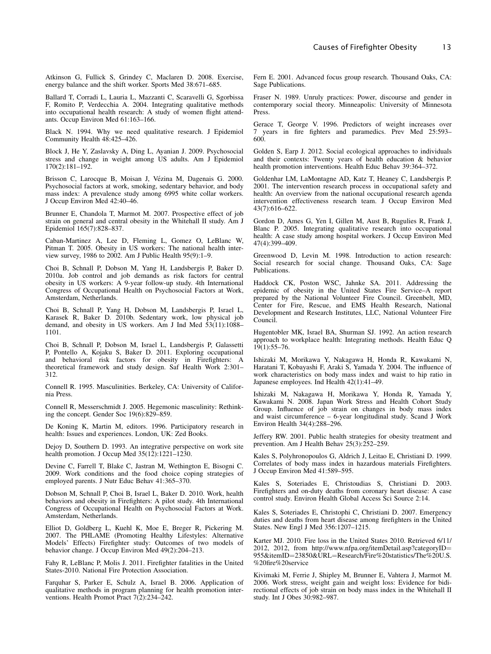Atkinson G, Fullick S, Grindey C, Maclaren D. 2008. Exercise, energy balance and the shift worker. Sports Med 38:671–685.

Ballard T, Corradi L, Lauria L, Mazzanti C, Scaravelli G, Sgorbissa F, Romito P, Verdecchia A. 2004. Integrating qualitative methods into occupational health research: A study of women flight attendants. Occup Environ Med 61:163–166.

Black N. 1994. Why we need qualitative research. J Epidemiol Community Health 48:425–426.

Block J, He Y, Zaslavsky A, Ding L, Ayanian J. 2009. Psychosocial stress and change in weight among US adults. Am J Epidemiol 170(2):181–192.

Brisson C, Larocque B, Moisan J, Vézina M, Dagenais G. 2000. Psychosocial factors at work, smoking, sedentary behavior, and body mass index: A prevalence study among 6995 white collar workers. J Occup Environ Med 42:40–46.

Brunner E, Chandola T, Marmot M. 2007. Prospective effect of job strain on general and central obesity in the Whitehall II study. Am J Epidemiol 165(7):828–837.

Caban-Martinez A, Lee D, Fleming L, Gomez O, LeBlanc W, Pitman T. 2005. Obesity in US workers: The national health interview survey, 1986 to 2002. Am J Public Health 95(9):1–9.

Choi B, Schnall P, Dobson M, Yang H, Landsbergis P, Baker D. 2010a. Job control and job demands as risk factors for central obesity in US workers: A 9-year follow-up study. 4th International Congress of Occupational Health on Psychosocial Factors at Work, Amsterdam, Netherlands.

Choi B, Schnall P, Yang H, Dobson M, Landsbergis P, Israel L, Karasek R, Baker D. 2010b. Sedentary work, low physical job demand, and obesity in US workers. Am J Ind Med 53(11):1088– 1101.

Choi B, Schnall P, Dobson M, Israel L, Landsbergis P, Galassetti P, Pontello A, Kojaku S, Baker D. 2011. Exploring occupational and behavioral risk factors for obesity in Firefighters: A theoretical framework and study design. Saf Health Work 2:301– 312.

Connell R. 1995. Masculinities. Berkeley, CA: University of California Press.

Connell R, Messerschmidt J. 2005. Hegemonic masculinity: Rethinking the concept. Gender Soc 19(6):829–859.

De Koning K, Martin M, editors. 1996. Participatory research in health: Issues and experiences. London, UK: Zed Books.

Dejoy D, Southern D. 1993. An integrative perspective on work site health promotion. J Occup Med 35(12):1221–1230.

Devine C, Farrell T, Blake C, Jastran M, Wethington E, Bisogni C. 2009. Work conditions and the food choice coping strategies of employed parents. J Nutr Educ Behav 41:365–370.

Dobson M, Schnall P, Choi B, Israel L, Baker D. 2010. Work, health behaviors and obesity in Firefighters: A pilot study. 4th International Congress of Occupational Health on Psychosocial Factors at Work. Amsterdam, Netherlands.

Elliot D, Goldberg L, Kuehl K, Moe E, Breger R, Pickering M. 2007. The PHLAME (Promoting Healthy Lifestyles: Alternative Models' Effects) Firefighter study: Outcomes of two models of behavior change. J Occup Environ Med 49(2):204–213.

Fahy R, LeBlanc P, Molis J. 2011. Firefighter fatalities in the United States-2010. National Fire Protection Association.

Farquhar S, Parker E, Schulz A, Israel B. 2006. Application of qualitative methods in program planning for health promotion interventions. Health Promot Pract 7(2):234–242.

Fern E. 2001. Advanced focus group research. Thousand Oaks, CA: Sage Publications.

Fraser N. 1989. Unruly practices: Power, discourse and gender in contemporary social theory. Minneapolis: University of Minnesota Press.

Gerace T, George V. 1996. Predictors of weight increases over 7 years in fire fighters and paramedics. Prev Med 25:593– 600.

Golden S, Earp J. 2012. Social ecological approaches to individuals and their contexts: Twenty years of health education & behavior health promotion interventions. Health Educ Behav 39:364–372.

Goldenhar LM, LaMontagne AD, Katz T, Heaney C, Landsbergis P. 2001. The intervention research process in occupational safety and health: An overview from the national occupational research agenda intervention effectiveness research team. J Occup Environ Med 43(7):616–622.

Gordon D, Ames G, Yen I, Gillen M, Aust B, Rugulies R, Frank J, Blanc P. 2005. Integrating qualitative research into occupational health: A case study among hospital workers. J Occup Environ Med 47(4):399–409.

Greenwood D, Levin M. 1998. Introduction to action research: Social research for social change. Thousand Oaks, CA: Sage Publications.

Haddock CK, Poston WSC, Jahnke SA. 2011. Addressing the epidemic of obesity in the United States Fire Service–A report prepared by the National Volunteer Fire Council. Greenbelt, MD, Center for Fire, Rescue, and EMS Health Research, National Development and Research Institutes, LLC, National Volunteer Fire Council.

Hugentobler MK, Israel BA, Shurman SJ. 1992. An action research approach to workplace health: Integrating methods. Health Educ Q 19(1):55–76.

Ishizaki M, Morikawa Y, Nakagawa H, Honda R, Kawakami N, Haratani T, Kobayashi F, Araki S, Yamada Y. 2004. The influence of work characteristics on body mass index and waist to hip ratio in Japanese employees. Ind Health 42(1):41–49.

Ishizaki M, Nakagawa H, Morikawa Y, Honda R, Yamada Y, Kawakami N. 2008. Japan Work Stress and Health Cohort Study Group. Influence of job strain on changes in body mass index and waist circumference – 6-year longitudinal study. Scand J Work Environ Health 34(4):288–296.

Jeffery RW. 2001. Public health strategies for obesity treatment and prevention. Am J Health Behav 25(3):252–259.

Kales S, Polyhronopoulos G, Aldrich J, Leitao E, Christiani D. 1999. Correlates of body mass index in hazardous materials Firefighters. J Occup Environ Med 41:589–595.

Kales S, Soteriades E, Christoudias S, Christiani D. 2003. Firefighters and on-duty deaths from coronary heart disease: A case control study. Environ Health Global Access Sci Source 2:14.

Kales S, Soteriades E, Christophi C, Christiani D. 2007. Emergency duties and deaths from heart disease among firefighters in the United States. New Engl J Med 356:1207–1215.

Karter MJ. 2010. Fire loss in the United States 2010. Retrieved 6/11/ 2012, 2012, from http://www.nfpa.org/itemDetail.asp?categoryID= 955&itemID=23850&URL=Research/Fire%20statistics/The%20U.S. %20fire%20service

Kivimaki M, Ferrie J, Shipley M, Brunner E, Vahtera J, Marmot M. 2006. Work stress, weight gain and weight loss: Evidence for bidirectional effects of job strain on body mass index in the Whitehall II study. Int J Obes 30:982–987.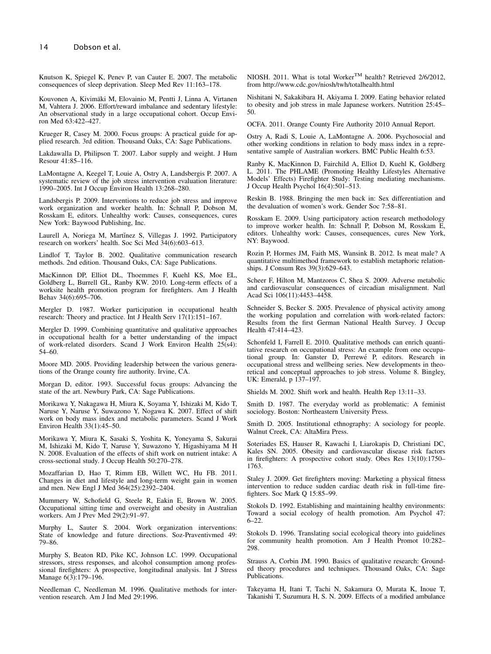Knutson K, Spiegel K, Penev P, van Cauter E. 2007. The metabolic consequences of sleep deprivation. Sleep Med Rev 11:163–178.

Kouvonen A, Kivimäki M, Elovainio M, Pentti J, Linna A, Virtanen M, Vahtera J. 2006. Effort/reward imbalance and sedentary lifestyle: An observational study in a large occupational cohort. Occup Environ Med 63:422–427.

Krueger R, Casey M. 2000. Focus groups: A practical guide for applied research. 3rd edition. Thousand Oaks, CA: Sage Publications.

Lakdawalla D, Philipson T. 2007. Labor supply and weight. J Hum Resour 41:85–116.

LaMontagne A, Keegel T, Louie A, Ostry A, Landsbergis P. 2007. A systematic review of the job stress intervention evaluation literature: 1990–2005. Int J Occup Environ Health 13:268–280.

Landsbergis P. 2009. Interventions to reduce job stress and improve work organization and worker health. In: Schnall P, Dobson M, Rosskam E, editors. Unhealthy work: Causes, consequences, cures New York: Baywood Publishing, Inc.

Laurell A, Noriega M, Martinez S, Villegas J. 1992. Participatory research on workers' health. Soc Sci Med 34(6):603–613.

Lindlof T, Taylor B. 2002. Qualitative communication research methods. 2nd edition. Thousand Oaks, CA: Sage Publications.

MacKinnon DP, Elliot DL, Thoemmes F, Kuehl KS, Moe EL, Goldberg L, Burrell GL, Ranby KW. 2010. Long-term effects of a worksite health promotion program for firefighters. Am J Health Behav 34(6):695–706.

Mergler D. 1987. Worker participation in occupational health research: Theory and practice. Int J Health Serv 17(1):151–167.

Mergler D. 1999. Combining quantitative and qualitative approaches in occupational health for a better understanding of the impact of work-related disorders. Scand J Work Environ Health 25(s4): 54–60.

Moore MD. 2005. Providing leadership between the various generations of the Orange county fire authority. Irvine, CA.

Morgan D, editor. 1993. Successful focus groups: Advancing the state of the art. Newbury Park, CA: Sage Publications.

Morikawa Y, Nakagawa H, Miura K, Soyama Y, Ishizaki M, Kido T, Naruse Y, Naruse Y, Suwazono Y, Nogawa K. 2007. Effect of shift work on body mass index and metabolic parameters. Scand J Work Environ Health 33(1):45–50.

Morikawa Y, Miura K, Sasaki S, Yoshita K, Yoneyama S, Sakurai M, Ishizaki M, Kido T, Naruse Y, Suwazono Y, Higashiyama M H N. 2008. Evaluation of the effects of shift work on nutrient intake: A cross-sectional study. J Occup Health 50:270–278.

Mozaffarian D, Hao T, Rimm EB, Willett WC, Hu FB. 2011. Changes in diet and lifestyle and long-term weight gain in women and men. New Engl J Med 364(25):2392–2404.

Mummery W, Schofield G, Steele R, Eakin E, Brown W. 2005. Occupational sitting time and overweight and obesity in Australian workers. Am J Prev Med 29(2):91–97.

Murphy L, Sauter S. 2004. Work organization interventions: State of knowledge and future directions. Soz-Praventivmed 49: 79–86.

Murphy S, Beaton RD, Pike KC, Johnson LC. 1999. Occupational stressors, stress responses, and alcohol consumption among professional firefighters: A prospective, longitudinal analysis. Int J Stress Manage 6(3):179–196.

Needleman C, Needleman M. 1996. Qualitative methods for intervention research. Am J Ind Med 29:1996.

NIOSH. 2011. What is total Worker<sup>TM</sup> health? Retrieved 2/6/2012, from http://www.cdc.gov/niosh/twh/totalhealth.html

Nishitani N, Sakakibara H, Akiyama I. 2009. Eating behavior related to obesity and job stress in male Japanese workers. Nutrition 25:45– 50.

OCFA. 2011. Orange County Fire Authority 2010 Annual Report.

Ostry A, Radi S, Louie A, LaMontagne A. 2006. Psychosocial and other working conditions in relation to body mass index in a representative sample of Australian workers. BMC Public Health 6:53.

Ranby K, MacKinnon D, Fairchild A, Elliot D, Kuehl K, Goldberg L. 2011. The PHLAME (Promoting Healthy Lifestyles Alternative Models' Effects) Firefighter Study: Testing mediating mechanisms. J Occup Health Psychol 16(4):501–513.

Reskin B. 1988. Bringing the men back in: Sex differentiation and the devaluation of women's work. Gender Soc 7:58–81.

Rosskam E. 2009. Using participatory action research methodology to improve worker health. In: Schnall P, Dobson M, Rosskam E, editors. Unhealthy work: Causes, consequences, cures New York, NY: Baywood.

Rozin P, Hormes JM, Faith MS, Wansink B. 2012. Is meat male? A quantitative multimethod framework to establish metaphoric relationships. J Consum Res 39(3):629–643.

Scheer F, Hilton M, Mantzoros C, Shea S. 2009. Adverse metabolic and cardiovascular consequences of circadian misalignment. Natl Acad Sci 106(11):4453–4458.

Schneider S, Becker S. 2005. Prevalence of physical activity among the working population and correlation with work-related factors: Results from the first German National Health Survey. J Occup Health 47:414–423.

Schonfeld I, Farrell E. 2010. Qualitative methods can enrich quantitative research on occupational stress: An example from one occupational group. In: Ganster D, Perrewé P, editors. Research in occupational stress and wellbeing series. New developments in theoretical and conceptual approaches to job stress. Volume 8. Bingley, UK: Emerald, p 137–197.

Shields M. 2002. Shift work and health. Health Rep 13:11–33.

Smith D. 1987. The everyday world as problematic: A feminist sociology. Boston: Northeastern University Press.

Smith D. 2005. Institutional ethnography: A sociology for people. Walnut Creek, CA: AltaMira Press.

Soteriades ES, Hauser R, Kawachi I, Liarokapis D, Christiani DC, Kales SN. 2005. Obesity and cardiovascular disease risk factors in firefighters: A prospective cohort study. Obes Res 13(10):1750– 1763.

Staley J. 2009. Get firefighters moving: Marketing a physical fitness intervention to reduce sudden cardiac death risk in full-time firefighters. Soc Mark Q 15:85–99.

Stokols D. 1992. Establishing and maintaining healthy environments: Toward a social ecology of health promotion. Am Psychol 47: 6–22.

Stokols D. 1996. Translating social ecological theory into guidelines for community health promotion. Am J Health Promot 10:282– 298.

Strauss A, Corbin JM. 1990. Basics of qualitative research: Grounded theory procedures and techniques. Thousand Oaks, CA: Sage Publications.

Takeyama H, Itani T, Tachi N, Sakamura O, Murata K, Inoue T, Takanishi T, Suzumura H, S. N. 2009. Effects of a modified ambulance